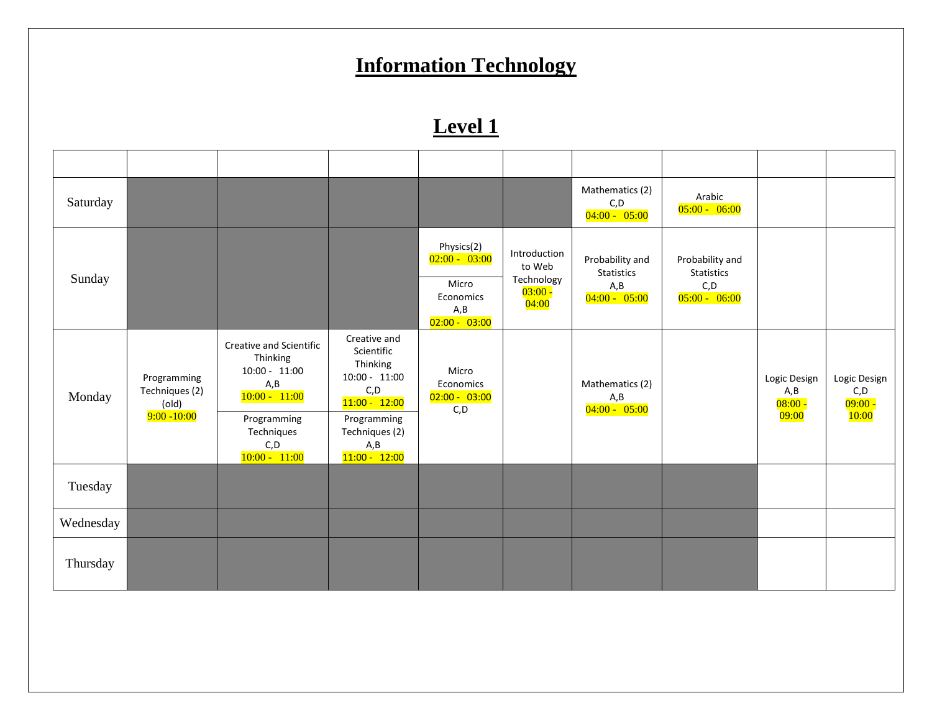### **Information Technology**

| Saturday  |                                                          |                                                                                                                                           |                                                                                                                                                  |                                                                                |                                                            | Mathematics (2)<br>C, D<br>$04:00 - 05:00$                      | Arabic<br>$05:00 - 06:00$                                       |                                            |                                            |
|-----------|----------------------------------------------------------|-------------------------------------------------------------------------------------------------------------------------------------------|--------------------------------------------------------------------------------------------------------------------------------------------------|--------------------------------------------------------------------------------|------------------------------------------------------------|-----------------------------------------------------------------|-----------------------------------------------------------------|--------------------------------------------|--------------------------------------------|
| Sunday    |                                                          |                                                                                                                                           |                                                                                                                                                  | Physics(2)<br>$02:00 - 03:00$<br>Micro<br>Economics<br>A, B<br>$02:00 - 03:00$ | Introduction<br>to Web<br>Technology<br>$03:00 -$<br>04:00 | Probability and<br><b>Statistics</b><br>A, B<br>$04:00 - 05:00$ | Probability and<br><b>Statistics</b><br>C, D<br>$05:00 - 06:00$ |                                            |                                            |
| Monday    | Programming<br>Techniques (2)<br>(old)<br>$9:00 - 10:00$ | Creative and Scientific<br>Thinking<br>$10:00 - 11:00$<br>A, B<br>$10:00 - 11:00$<br>Programming<br>Techniques<br>C, D<br>$10:00 - 11:00$ | Creative and<br>Scientific<br>Thinking<br>$10:00 - 11:00$<br>C, D<br>$11:00 - 12:00$<br>Programming<br>Techniques (2)<br>A, B<br>$11:00 - 12:00$ | Micro<br>Economics<br>$02:00 - 03:00$<br>C, D                                  |                                                            | Mathematics (2)<br>A, B<br>$04:00 - 05:00$                      |                                                                 | Logic Design<br>A, B<br>$08:00 -$<br>09:00 | Logic Design<br>C, D<br>$09:00 -$<br>10:00 |
| Tuesday   |                                                          |                                                                                                                                           |                                                                                                                                                  |                                                                                |                                                            |                                                                 |                                                                 |                                            |                                            |
| Wednesday |                                                          |                                                                                                                                           |                                                                                                                                                  |                                                                                |                                                            |                                                                 |                                                                 |                                            |                                            |
| Thursday  |                                                          |                                                                                                                                           |                                                                                                                                                  |                                                                                |                                                            |                                                                 |                                                                 |                                            |                                            |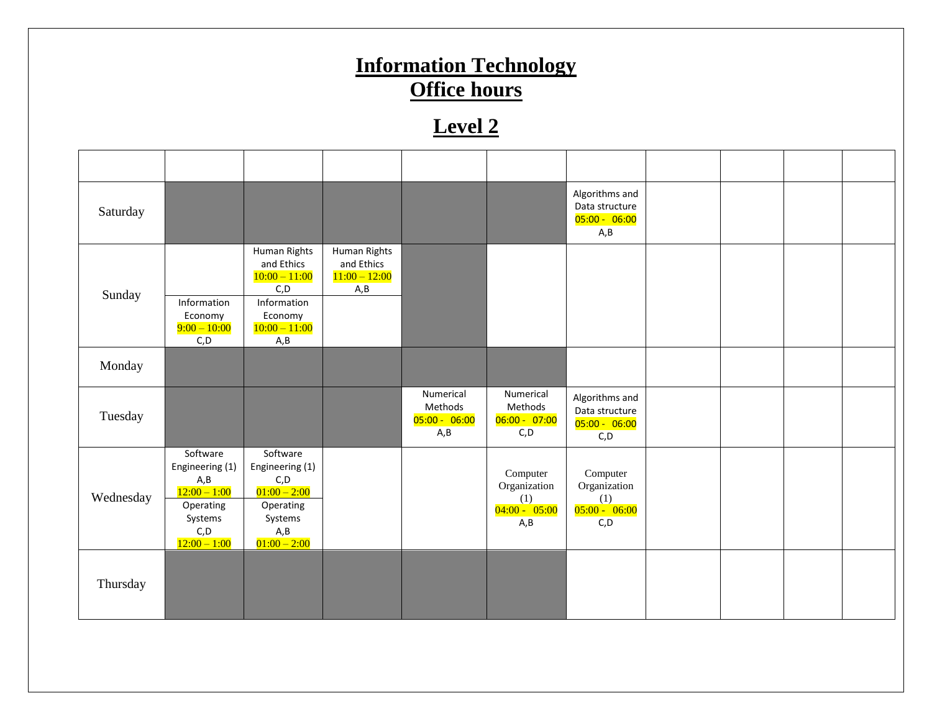## **Information Technology Office hours**

| Saturday  |                                                                                                         |                                                                                                            |                                                       |                                                |                                                            | Algorithms and<br>Data structure<br>$05:00 - 06:00$<br>A, B |  |  |
|-----------|---------------------------------------------------------------------------------------------------------|------------------------------------------------------------------------------------------------------------|-------------------------------------------------------|------------------------------------------------|------------------------------------------------------------|-------------------------------------------------------------|--|--|
| Sunday    | Information<br>Economy<br>$9:00 - 10:00$<br>C, D                                                        | Human Rights<br>and Ethics<br>$10:00 - 11:00$<br>C, D<br>Information<br>Economy<br>$10:00 - 11:00$<br>A, B | Human Rights<br>and Ethics<br>$11:00 - 12:00$<br>A, B |                                                |                                                            |                                                             |  |  |
| Monday    |                                                                                                         |                                                                                                            |                                                       |                                                |                                                            |                                                             |  |  |
| Tuesday   |                                                                                                         |                                                                                                            |                                                       | Numerical<br>Methods<br>$05:00 - 06:00$<br>A,B | Numerical<br>Methods<br>$06:00 - 07:00$<br>C, D            | Algorithms and<br>Data structure<br>05:00 - 06:00<br>C, D   |  |  |
| Wednesday | Software<br>Engineering (1)<br>A, B<br>$12:00 - 1:00$<br>Operating<br>Systems<br>C, D<br>$12:00 - 1:00$ | Software<br>Engineering (1)<br>C, D<br>$01:00 - 2:00$<br>Operating<br>Systems<br>A, B<br>$01:00 - 2:00$    |                                                       |                                                | Computer<br>Organization<br>(1)<br>$04:00 - 05:00$<br>A, B | Computer<br>Organization<br>(1)<br>$05:00 - 06:00$<br>C, D  |  |  |
| Thursday  |                                                                                                         |                                                                                                            |                                                       |                                                |                                                            |                                                             |  |  |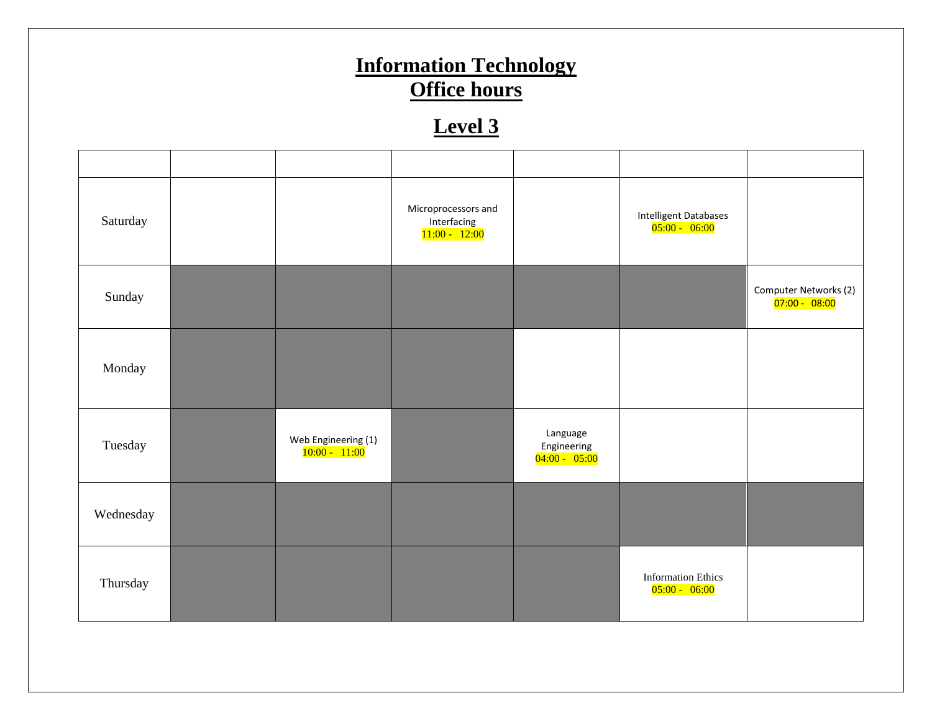# **Information Technology Office hours**

| Saturday  |                                      | Microprocessors and<br>Interfacing<br>$11:00 - 12:00$ |                                            | <b>Intelligent Databases</b><br>$05:00 - 06:00$ |                                          |
|-----------|--------------------------------------|-------------------------------------------------------|--------------------------------------------|-------------------------------------------------|------------------------------------------|
| Sunday    |                                      |                                                       |                                            |                                                 | Computer Networks (2)<br>$07:00 - 08:00$ |
| Monday    |                                      |                                                       |                                            |                                                 |                                          |
| Tuesday   | Web Engineering (1)<br>10:00 - 11:00 |                                                       | Language<br>Engineering<br>$04:00 - 05:00$ |                                                 |                                          |
| Wednesday |                                      |                                                       |                                            |                                                 |                                          |
| Thursday  |                                      |                                                       |                                            | <b>Information Ethics</b><br>$05:00 - 06:00$    |                                          |